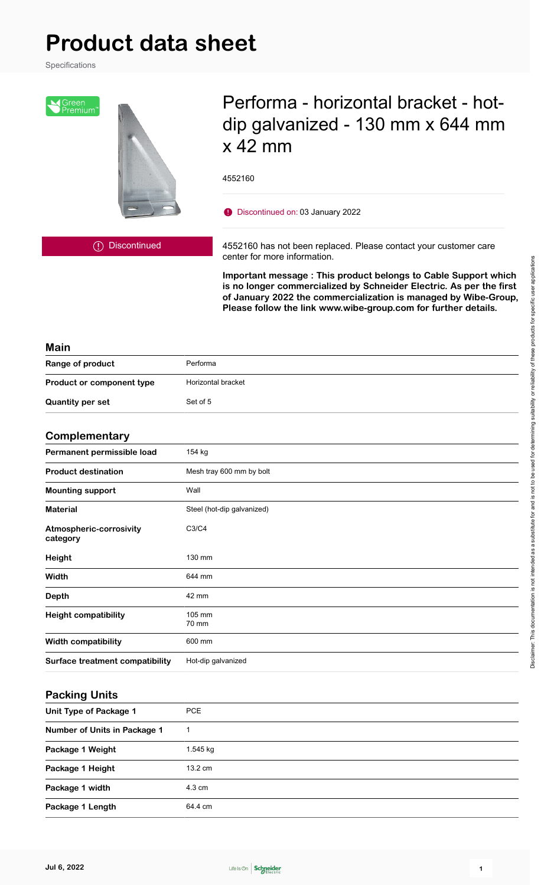# **Product data sheet**

Specifications



# Performa - horizontal bracket - hotdip galvanized - 130 mm x 644 mm x 42 mm

4552160

Discontinued on: 03 January 2022

Discontinued

4552160 has not been replaced. Please contact your customer care center for more information.

**Important message : This product belongs to Cable Support which is no longer commercialized by Schneider Electric. As per the first of January 2022 the commercialization is managed by Wibe-Group, Please follow the link www.wibe-group.com for further details.**

#### **Main**

| Range of product                 | Performa           |
|----------------------------------|--------------------|
| <b>Product or component type</b> | Horizontal bracket |
| <b>Quantity per set</b>          | Set of 5           |

#### **Complementary**

| - - · · · · - · · · · - · · · - · · <i>.</i> |                            |
|----------------------------------------------|----------------------------|
| Permanent permissible load                   | 154 kg                     |
| <b>Product destination</b>                   | Mesh tray 600 mm by bolt   |
| <b>Mounting support</b>                      | Wall                       |
| <b>Material</b>                              | Steel (hot-dip galvanized) |
| Atmospheric-corrosivity<br>category          | C3/C4                      |
| Height                                       | 130 mm                     |
| Width                                        | 644 mm                     |
| <b>Depth</b>                                 | 42 mm                      |
| <b>Height compatibility</b>                  | 105 mm<br>70 mm            |
| <b>Width compatibility</b>                   | 600 mm                     |
| Surface treatment compatibility              | Hot-dip galvanized         |

#### **Packing Units**

| Unit Type of Package 1              | <b>PCE</b>        |
|-------------------------------------|-------------------|
| <b>Number of Units in Package 1</b> |                   |
| Package 1 Weight                    | 1.545 kg          |
| Package 1 Height                    | $13.2 \text{ cm}$ |
| Package 1 width                     | $4.3 \text{ cm}$  |
| Package 1 Length                    | 64.4 cm           |